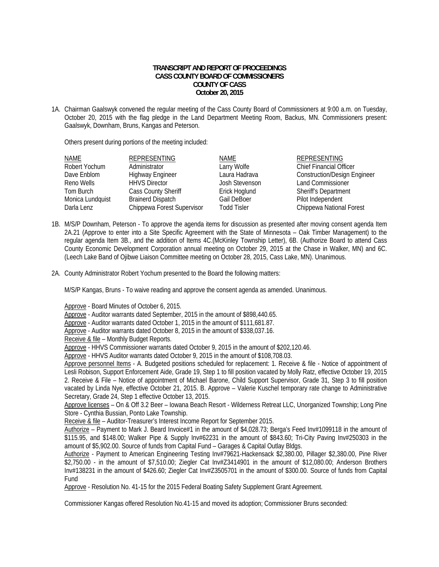## **TRANSCRIPT AND REPORT OF PROCEEDINGS CASS COUNTY BOARD OF COMMISSIONERS COUNTY OF CASS October 20, 2015**

1A. Chairman Gaalswyk convened the regular meeting of the Cass County Board of Commissioners at 9:00 a.m. on Tuesday, October 20, 2015 with the flag pledge in the Land Department Meeting Room, Backus, MN. Commissioners present: Gaalswyk, Downham, Bruns, Kangas and Peterson.

Others present during portions of the meeting included:

| NAME             | <b>REPRESENTING</b>        | NAME           | <b>REPRESENTING</b>                 |
|------------------|----------------------------|----------------|-------------------------------------|
| Robert Yochum    | Administrator              | Larry Wolfe    | <b>Chief Financial Officer</b>      |
| Dave Enblom      | <b>Highway Engineer</b>    | Laura Hadrava  | <b>Construction/Design Engineer</b> |
| Reno Wells       | <b>HHVS Director</b>       | Josh Stevenson | <b>Land Commissioner</b>            |
| Tom Burch        | <b>Cass County Sheriff</b> | Erick Hoglund  | Sheriff's Department                |
| Monica Lundquist | <b>Brainerd Dispatch</b>   | Gail DeBoer    | Pilot Independent                   |
| Darla Lenz       | Chippewa Forest Supervisor | Todd Tisler    | Chippewa National Forest            |

- 1B. M/S/P Downham, Peterson To approve the agenda items for discussion as presented after moving consent agenda Item 2A.21 (Approve to enter into a Site Specific Agreement with the State of Minnesota – Oak Timber Management) to the regular agenda Item 3B., and the addition of Items 4C.(McKinley Township Letter), 6B. (Authorize Board to attend Cass County Economic Development Corporation annual meeting on October 29, 2015 at the Chase in Walker, MN) and 6C. (Leech Lake Band of Ojibwe Liaison Committee meeting on October 28, 2015, Cass Lake, MN). Unanimous.
- 2A. County Administrator Robert Yochum presented to the Board the following matters:

M/S/P Kangas, Bruns - To waive reading and approve the consent agenda as amended. Unanimous.

Approve - Board Minutes of October 6, 2015.

Approve - Auditor warrants dated September, 2015 in the amount of \$898,440.65.

Approve - Auditor warrants dated October 1, 2015 in the amount of \$111,681.87.

Approve - Auditor warrants dated October 8, 2015 in the amount of \$338,037.16.

Receive & file - Monthly Budget Reports.

Approve - HHVS Commissioner warrants dated October 9, 2015 in the amount of \$202,120.46.

Approve - HHVS Auditor warrants dated October 9, 2015 in the amount of \$108,708.03.

Approve personnel Items - A. Budgeted positions scheduled for replacement: 1. Receive & file - Notice of appointment of Lesli Robison, Support Enforcement Aide, Grade 19, Step 1 to fill position vacated by Molly Ratz, effective October 19, 2015 2. Receive & File – Notice of appointment of Michael Barone, Child Support Supervisor, Grade 31, Step 3 to fill position vacated by Linda Nye, effective October 21, 2015. B. Approve – Valerie Kuschel temporary rate change to Administrative Secretary, Grade 24, Step 1 effective October 13, 2015.

Approve licenses – On & Off 3.2 Beer – Iowana Beach Resort - Wilderness Retreat LLC, Unorganized Township; Long Pine Store - Cynthia Bussian, Ponto Lake Township.

Receive & file – Auditor-Treasurer's Interest Income Report for September 2015.

 Authorize – Payment to Mark J. Beard Invoice#1 in the amount of \$4,028.73; Berga's Feed Inv#1099118 in the amount of \$115.95, and \$148.00; Walker Pipe & Supply Inv#62231 in the amount of \$843.60; Tri-City Paving Inv#250303 in the amount of \$5,902.00. Source of funds from Capital Fund – Garages & Capital Outlay Bldgs.

 Authorize - Payment to American Engineering Testing Inv#79621-Hackensack \$2,380.00, Pillager \$2,380.00, Pine River \$2,750.00 - in the amount of \$7,510.00; Ziegler Cat Inv#Z3414901 in the amount of \$12,080.00; Anderson Brothers Inv#138231 in the amount of \$426.60; Ziegler Cat Inv#Z3505701 in the amount of \$300.00. Source of funds from Capital Fund

Approve - Resolution No. 41-15 for the 2015 Federal Boating Safety Supplement Grant Agreement.

Commissioner Kangas offered Resolution No.41-15 and moved its adoption; Commissioner Bruns seconded: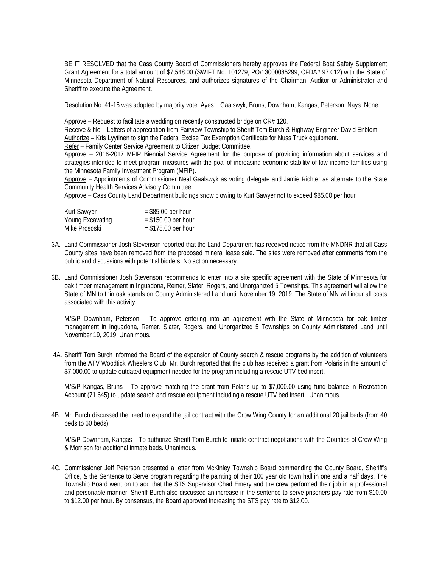BE IT RESOLVED that the Cass County Board of Commissioners hereby approves the Federal Boat Safety Supplement Grant Agreement for a total amount of \$7,548.00 (SWIFT No. 101279, PO# 3000085299, CFDA# 97.012) with the State of Minnesota Department of Natural Resources, and authorizes signatures of the Chairman, Auditor or Administrator and Sheriff to execute the Agreement.

Resolution No. 41-15 was adopted by majority vote: Ayes: Gaalswyk, Bruns, Downham, Kangas, Peterson. Nays: None.

Approve - Request to facilitate a wedding on recently constructed bridge on CR# 120.

Receive & file - Letters of appreciation from Fairview Township to Sheriff Tom Burch & Highway Engineer David Enblom. Authorize – Kris Lyytinen to sign the Federal Excise Tax Exemption Certificate for Nuss Truck equipment.

Refer – Family Center Service Agreement to Citizen Budget Committee.

 Approve – 2016-2017 MFIP Biennial Service Agreement for the purpose of providing information about services and strategies intended to meet program measures with the goal of increasing economic stability of low income families using the Minnesota Family Investment Program (MFIP).

Approve – Appointments of Commissioner Neal Gaalswyk as voting delegate and Jamie Richter as alternate to the State Community Health Services Advisory Committee.

Approve – Cass County Land Department buildings snow plowing to Kurt Sawyer not to exceed \$85.00 per hour

| Kurt Sawyer      | $=$ \$85.00 per hour  |
|------------------|-----------------------|
| Young Excavating | $=$ \$150.00 per hour |
| Mike Prososki    | $=$ \$175.00 per hour |

- 3A. Land Commissioner Josh Stevenson reported that the Land Department has received notice from the MNDNR that all Cass County sites have been removed from the proposed mineral lease sale. The sites were removed after comments from the public and discussions with potential bidders. No action necessary.
- 3B. Land Commissioner Josh Stevenson recommends to enter into a site specific agreement with the State of Minnesota for oak timber management in Inguadona, Remer, Slater, Rogers, and Unorganized 5 Townships. This agreement will allow the State of MN to thin oak stands on County Administered Land until November 19, 2019. The State of MN will incur all costs associated with this activity.

 M/S/P Downham, Peterson – To approve entering into an agreement with the State of Minnesota for oak timber management in Inguadona, Remer, Slater, Rogers, and Unorganized 5 Townships on County Administered Land until November 19, 2019. Unanimous.

 4A. Sheriff Tom Burch informed the Board of the expansion of County search & rescue programs by the addition of volunteers from the ATV Woodtick Wheelers Club. Mr. Burch reported that the club has received a grant from Polaris in the amount of \$7,000.00 to update outdated equipment needed for the program including a rescue UTV bed insert.

 M/S/P Kangas, Bruns – To approve matching the grant from Polaris up to \$7,000.00 using fund balance in Recreation Account (71.645) to update search and rescue equipment including a rescue UTV bed insert. Unanimous.

4B. Mr. Burch discussed the need to expand the jail contract with the Crow Wing County for an additional 20 jail beds (from 40 beds to 60 beds).

 M/S/P Downham, Kangas – To authorize Sheriff Tom Burch to initiate contract negotiations with the Counties of Crow Wing & Morrison for additional inmate beds. Unanimous.

4C. Commissioner Jeff Peterson presented a letter from McKinley Township Board commending the County Board, Sheriff's Office, & the Sentence to Serve program regarding the painting of their 100 year old town hall in one and a half days. The Township Board went on to add that the STS Supervisor Chad Emery and the crew performed their job in a professional and personable manner. Sheriff Burch also discussed an increase in the sentence-to-serve prisoners pay rate from \$10.00 to \$12.00 per hour. By consensus, the Board approved increasing the STS pay rate to \$12.00.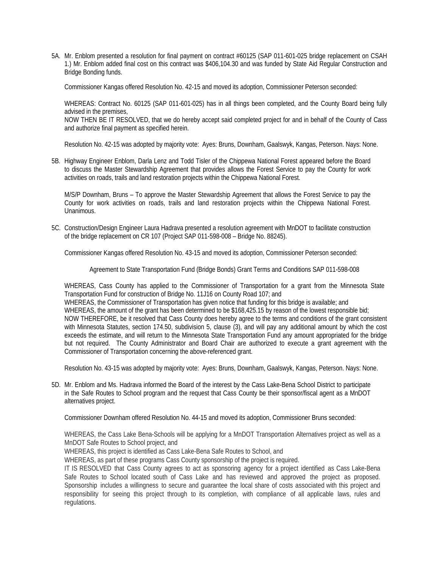5A. Mr. Enblom presented a resolution for final payment on contract #60125 (SAP 011-601-025 bridge replacement on CSAH 1.) Mr. Enblom added final cost on this contract was \$406,104.30 and was funded by State Aid Regular Construction and Bridge Bonding funds.

Commissioner Kangas offered Resolution No. 42-15 and moved its adoption, Commissioner Peterson seconded:

WHEREAS: Contract No. 60125 (SAP 011-601-025) has in all things been completed, and the County Board being fully advised in the premises,

NOW THEN BE IT RESOLVED, that we do hereby accept said completed project for and in behalf of the County of Cass and authorize final payment as specified herein.

Resolution No. 42-15 was adopted by majority vote: Ayes: Bruns, Downham, Gaalswyk, Kangas, Peterson. Nays: None.

5B. Highway Engineer Enblom, Darla Lenz and Todd Tisler of the Chippewa National Forest appeared before the Board to discuss the Master Stewardship Agreement that provides allows the Forest Service to pay the County for work activities on roads, trails and land restoration projects within the Chippewa National Forest.

 M/S/P Downham, Bruns – To approve the Master Stewardship Agreement that allows the Forest Service to pay the County for work activities on roads, trails and land restoration projects within the Chippewa National Forest. Unanimous.

5C. Construction/Design Engineer Laura Hadrava presented a resolution agreement with MnDOT to facilitate construction of the bridge replacement on CR 107 (Project SAP 011-598-008 – Bridge No. 88245).

Commissioner Kangas offered Resolution No. 43-15 and moved its adoption, Commissioner Peterson seconded:

Agreement to State Transportation Fund (Bridge Bonds) Grant Terms and Conditions SAP 011-598-008

WHEREAS, Cass County has applied to the Commissioner of Transportation for a grant from the Minnesota State Transportation Fund for construction of Bridge No. 11J16 on County Road 107; and

WHEREAS, the Commissioner of Transportation has given notice that funding for this bridge is available; and WHEREAS, the amount of the grant has been determined to be \$168,425.15 by reason of the lowest responsible bid; NOW THEREFORE, be it resolved that Cass County does hereby agree to the terms and conditions of the grant consistent with Minnesota Statutes, section 174.50, subdivision 5, clause (3), and will pay any additional amount by which the cost exceeds the estimate, and will return to the Minnesota State Transportation Fund any amount appropriated for the bridge but not required. The County Administrator and Board Chair are authorized to execute a grant agreement with the Commissioner of Transportation concerning the above-referenced grant.

Resolution No. 43-15 was adopted by majority vote: Ayes: Bruns, Downham, Gaalswyk, Kangas, Peterson. Nays: None.

5D. Mr. Enblom and Ms. Hadrava informed the Board of the interest by the Cass Lake-Bena School District to participate in the Safe Routes to School program and the request that Cass County be their sponsor/fiscal agent as a MnDOT alternatives project.

Commissioner Downham offered Resolution No. 44-15 and moved its adoption, Commissioner Bruns seconded:

WHEREAS, the Cass Lake Bena-Schools will be applying for a MnDOT Transportation Alternatives project as well as a MnDOT Safe Routes to School project, and

WHEREAS, this project is identified as Cass Lake-Bena Safe Routes to School, and

WHEREAS, as part of these programs Cass County sponsorship of the project is required.

IT IS RESOLVED that Cass County agrees to act as sponsoring agency for a project identified as Cass Lake-Bena Safe Routes to School located south of Cass Lake and has reviewed and approved the project as proposed. Sponsorship includes a willingness to secure and guarantee the local share of costs associated with this project and responsibility for seeing this project through to its completion, with compliance of all applicable laws, rules and regulations.